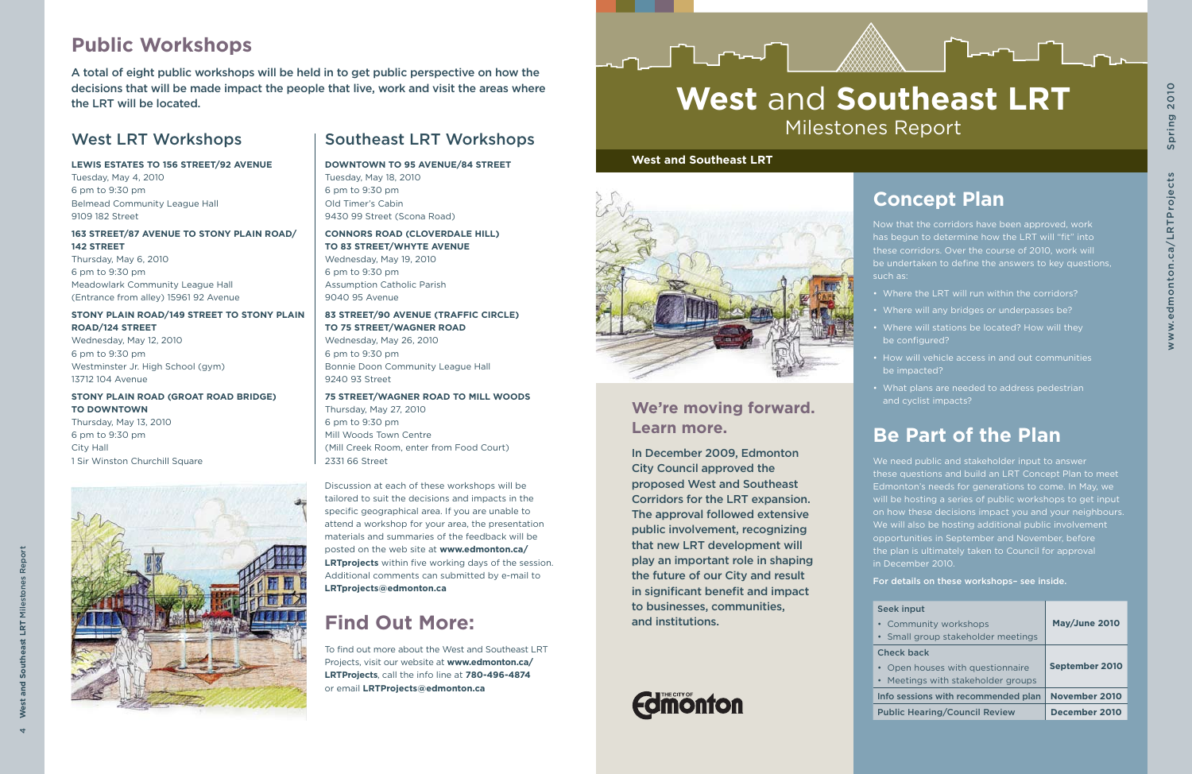4 **West and Southeast LRT** Milestones Report

Ξ st LRT



# **We're moving forward. Learn more.**

In December 2009, Edmonton City Council approved the proposed West and Southeast Corridors for the LRT expansion. The approval followed extensive public involvement, recognizing that new LRT development will play an important role in shaping the future of our City and result in significant benefit and impact to businesses, communities, and institutions.



# **West** and **Southeast LRT** Milestones Report

### **West and Southeast LRT**

**J** ⊥∼√



# **Concept Plan**

Now that the corridors have been approved, work has begun to determine how the LRT will "fit" into these corridors. Over the course of 2010, work will be undertaken to define the answers to key questions, such as:

- Where the LRT will run within the corridors?
- Where will any bridges or underpasses be?
- Where will stations be located? How will they be configured?
- How will vehicle access in and out communities be impacted?
- What plans are needed to address pedestrian and cyclist impacts?

# **Be Part of the Plan**

We need public and stakeholder input to answer these questions and build an LRT Concept Plan to meet Edmonton's needs for generations to come. In May, we will be hosting a series of public workshops to get input on how these decisions impact you and your neighbours. We will also be hosting additional public involvement opportunities in September and November, before the plan is ultimately taken to Council for approval in December 2010. For details on these workshops– see inside.

See  $\overline{ch}$ 

| <b>Seek input</b>                    |                       |
|--------------------------------------|-----------------------|
| • Community workshops                | May/June 2010         |
| • Small group stakeholder meetings   |                       |
| <b>Check back</b>                    |                       |
| • Open houses with questionnaire     | <b>September 2010</b> |
| • Meetings with stakeholder groups   |                       |
| Info sessions with recommended plan  | <b>November 2010</b>  |
| <b>Public Hearing/Council Review</b> | December 2010         |

## West LRT Workshops

### **LEWIS ESTATES TO 156 STREET/92 AVENUE**

Tuesday, May 4, 2010 6 pm to 9:30 pm Belmead Community League Hall 9109 182 Street

### **163 STREET/87 AVENUE TO STONY PLAIN ROAD/ 142 STREET**

Thursday, May 6, 2010 6 pm to 9:30 pm Meadowlark Community League Hall (Entrance from alley) 15961 92 Avenue

### **STONY PLAIN ROAD/149 STREET TO STONY PLAIN ROAD/124 STREET**

Wednesday, May 12, 2010 6 pm to 9:30 pm Westminster Jr. High School (gym) 13712 104 Avenue

### **STONY PLAIN ROAD (GROAT ROAD BRIDGE) TO DOWNTOWN**

Thursday, May 13, 2010 6 pm to 9:30 pm City Hall 1 Sir Winston Churchill Square

# Southeast LRT Workshops

### **DOWNTOWN TO 95 AVENUE/84 STREET**

Tuesday, May 18, 2010 6 pm to 9:30 pm Old Timer's Cabin 9430 99 Street (Scona Road)

### **CONNORS ROAD (CLOVERDALE HILL)**

**TO 83 STREET/WHYTE AVENUE** Wednesday, May 19, 2010 6 pm to 9:30 pm Assumption Catholic Parish 9040 95 Avenue

### **83 STREET/90 AVENUE (TRAFFIC CIRCLE)**

**TO 75 STREET/WAGNER ROAD**

Wednesday, May 26, 2010 6 pm to 9:30 pm Bonnie Doon Community League Hall 9240 93 Street

### **75 STREET/WAGNER ROAD TO MILL WOODS**

Thursday, May 27, 2010 6 pm to 9:30 pm Mill Woods Town Centre (Mill Creek Room, enter from Food Court) 2331 66 Street

# **Public Workshops**

# **Find Out More:**

A total of eight public workshops will be held in to get public perspective on how the decisions that will be made impact the people that live, work and visit the areas where the LRT will be located.

> To find out more about the West and Southeast LRT Projects, visit our website at **www.edmonton.ca/ LRTProjects**, call the info line at **780-496-4874** or email **LRTProjects@edmonton.ca**

Discussion at each of these workshops will be tailored to suit the decisions and impacts in the specific geographical area. If you are unable to attend a workshop for your area, the presentation materials and summaries of the feedback will be posted on the web site at **www.edmonton.ca/ LRTprojects** within five working days of the session. Additional comments can submitted by e-mail to **LRTprojects@edmonton.ca**